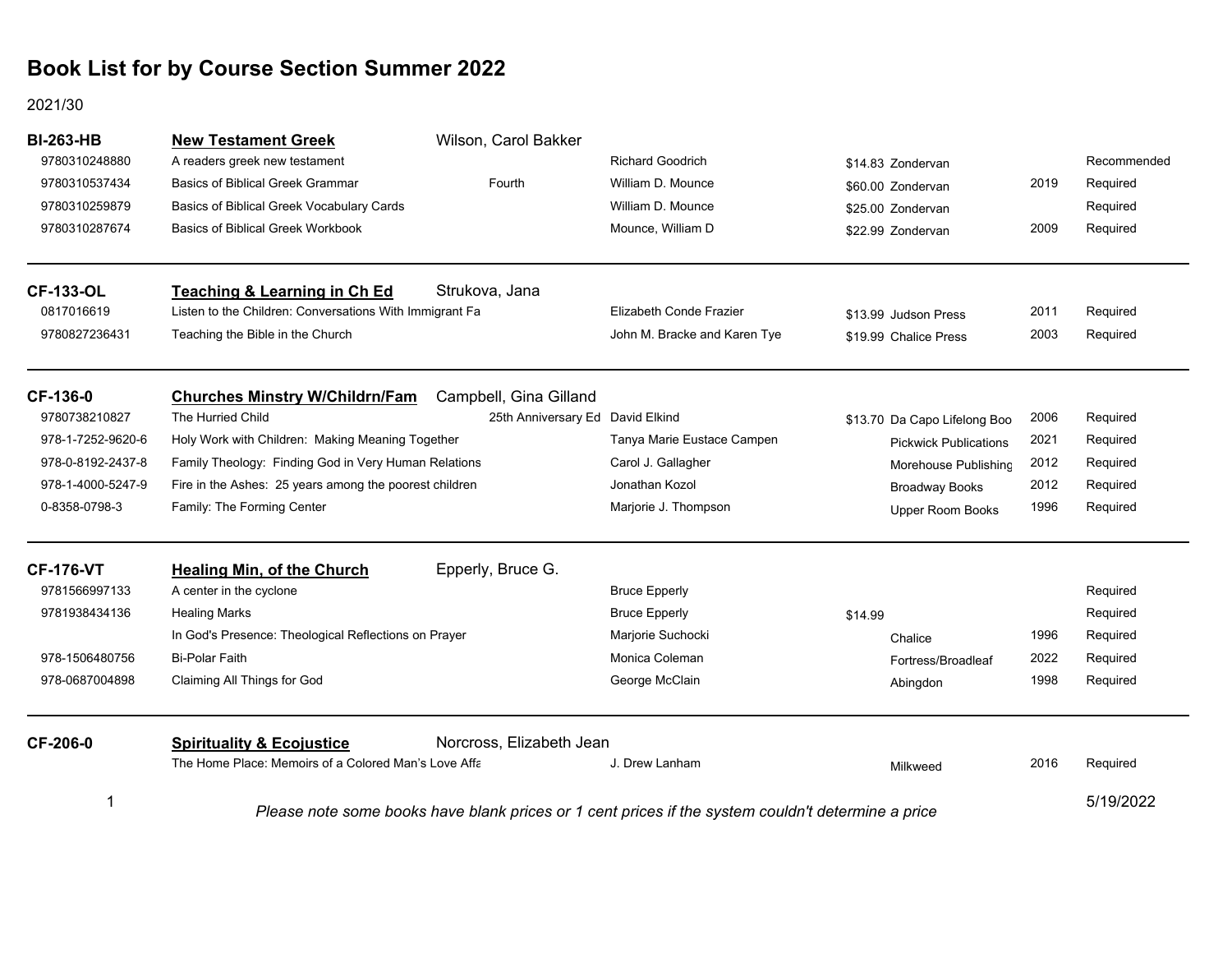#### 2021/30

| <b>BI-263-HB</b><br>9780310248880<br>9780310537434<br>9780310259879<br>9780310287674 | <b>New Testament Greek</b><br>A readers greek new testament<br><b>Basics of Biblical Greek Grammar</b><br>Basics of Biblical Greek Vocabulary Cards<br><b>Basics of Biblical Greek Workbook</b> | Wilson, Carol Bakker<br>Fourth   | <b>Richard Goodrich</b><br>William D. Mounce<br>William D. Mounce<br>Mounce, William D             | \$14.83 Zondervan<br>\$60.00 Zondervan<br>\$25.00 Zondervan<br>\$22.99 Zondervan | 2019<br>2009 | Recommended<br>Required<br>Required<br>Required |
|--------------------------------------------------------------------------------------|-------------------------------------------------------------------------------------------------------------------------------------------------------------------------------------------------|----------------------------------|----------------------------------------------------------------------------------------------------|----------------------------------------------------------------------------------|--------------|-------------------------------------------------|
| <b>CF-133-OL</b><br>0817016619                                                       | <b>Teaching &amp; Learning in Ch Ed</b><br>Listen to the Children: Conversations With Immigrant Fa                                                                                              | Strukova, Jana                   | Elizabeth Conde Frazier                                                                            | \$13.99 Judson Press                                                             | 2011         | Required                                        |
| 9780827236431                                                                        | Teaching the Bible in the Church                                                                                                                                                                |                                  | John M. Bracke and Karen Tye                                                                       | \$19.99 Chalice Press                                                            | 2003         | Required                                        |
| CF-136-0                                                                             | <b>Churches Minstry W/Childrn/Fam</b>                                                                                                                                                           | Campbell, Gina Gilland           |                                                                                                    |                                                                                  |              |                                                 |
| 9780738210827                                                                        | The Hurried Child                                                                                                                                                                               | 25th Anniversary Ed David Elkind |                                                                                                    | \$13.70 Da Capo Lifelong Boo                                                     | 2006         | Required                                        |
| 978-1-7252-9620-6                                                                    | Holy Work with Children: Making Meaning Together                                                                                                                                                |                                  | Tanya Marie Eustace Campen                                                                         | <b>Pickwick Publications</b>                                                     | 2021         | Required                                        |
| 978-0-8192-2437-8                                                                    | Family Theology: Finding God in Very Human Relations                                                                                                                                            |                                  | Carol J. Gallagher                                                                                 | Morehouse Publishing                                                             | 2012         | Required                                        |
| 978-1-4000-5247-9                                                                    | Fire in the Ashes: 25 years among the poorest children                                                                                                                                          |                                  | Jonathan Kozol                                                                                     | <b>Broadway Books</b>                                                            | 2012         | Required                                        |
| 0-8358-0798-3                                                                        | Family: The Forming Center                                                                                                                                                                      |                                  | Marjorie J. Thompson                                                                               | Upper Room Books                                                                 | 1996         | Required                                        |
| <b>CF-176-VT</b>                                                                     | <b>Healing Min, of the Church</b>                                                                                                                                                               | Epperly, Bruce G.                |                                                                                                    |                                                                                  |              |                                                 |
| 9781566997133                                                                        | A center in the cyclone                                                                                                                                                                         |                                  | <b>Bruce Epperly</b>                                                                               |                                                                                  |              | Required                                        |
| 9781938434136                                                                        | <b>Healing Marks</b>                                                                                                                                                                            |                                  | <b>Bruce Epperly</b>                                                                               | \$14.99                                                                          |              | Required                                        |
|                                                                                      | In God's Presence: Theological Reflections on Prayer                                                                                                                                            |                                  | Marjorie Suchocki                                                                                  | Chalice                                                                          | 1996         | Required                                        |
| 978-1506480756                                                                       | <b>Bi-Polar Faith</b>                                                                                                                                                                           |                                  | Monica Coleman                                                                                     | Fortress/Broadleaf                                                               | 2022         | Required                                        |
| 978-0687004898                                                                       | Claiming All Things for God                                                                                                                                                                     |                                  | George McClain                                                                                     | Abingdon                                                                         | 1998         | Required                                        |
| CF-206-0                                                                             | <b>Spirituality &amp; Ecojustice</b>                                                                                                                                                            | Norcross, Elizabeth Jean         |                                                                                                    |                                                                                  |              |                                                 |
|                                                                                      | The Home Place: Memoirs of a Colored Man's Love Affa                                                                                                                                            |                                  | J. Drew Lanham                                                                                     | Milkweed                                                                         | 2016         | Required                                        |
| 1                                                                                    |                                                                                                                                                                                                 |                                  | Please note some books have blank prices or 1 cent prices if the system couldn't determine a price |                                                                                  |              | 5/19/2022                                       |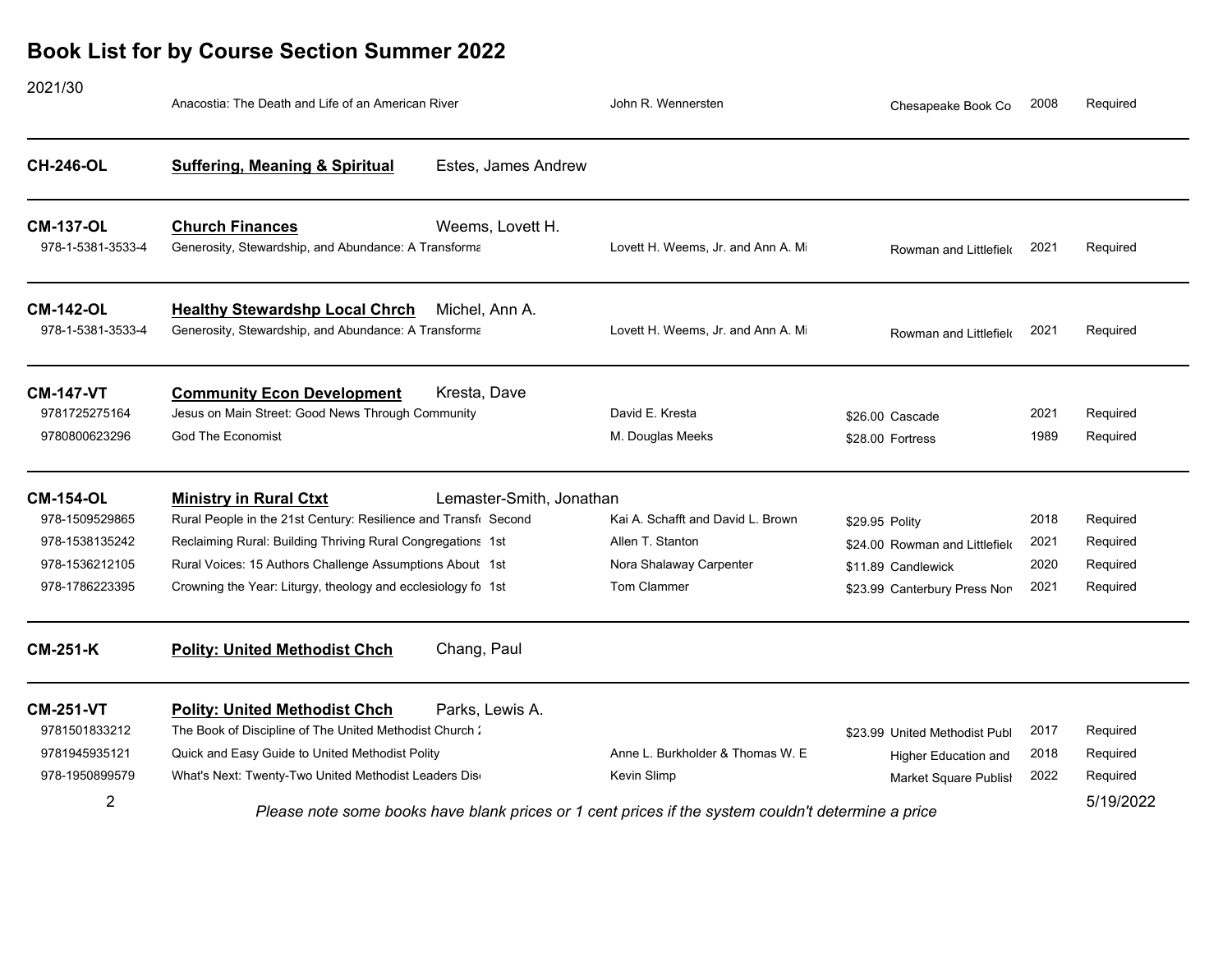| 2021/30                                                                                  | Anacostia: The Death and Life of an American River                                                                                                                                                                                                                                          |                          | John R. Wennersten                                                                                     | Chesapeake Book Co                                                                                     | 2008                         | Required                                      |
|------------------------------------------------------------------------------------------|---------------------------------------------------------------------------------------------------------------------------------------------------------------------------------------------------------------------------------------------------------------------------------------------|--------------------------|--------------------------------------------------------------------------------------------------------|--------------------------------------------------------------------------------------------------------|------------------------------|-----------------------------------------------|
| <b>CH-246-OL</b>                                                                         | <b>Suffering, Meaning &amp; Spiritual</b>                                                                                                                                                                                                                                                   | Estes, James Andrew      |                                                                                                        |                                                                                                        |                              |                                               |
| <b>CM-137-OL</b><br>978-1-5381-3533-4                                                    | <b>Church Finances</b><br>Generosity, Stewardship, and Abundance: A Transforma                                                                                                                                                                                                              | Weems, Lovett H.         | Lovett H. Weems, Jr. and Ann A. Mi                                                                     | Rowman and Littlefield                                                                                 | 2021                         | Required                                      |
| <b>CM-142-OL</b><br>978-1-5381-3533-4                                                    | <b>Healthy Stewardshp Local Chrch</b><br>Generosity, Stewardship, and Abundance: A Transforma                                                                                                                                                                                               | Michel, Ann A.           | Lovett H. Weems, Jr. and Ann A. Mi                                                                     | Rowman and Littlefield                                                                                 | 2021                         | Required                                      |
| <b>CM-147-VT</b><br>9781725275164<br>9780800623296                                       | <b>Community Econ Development</b><br>Jesus on Main Street: Good News Through Community<br><b>God The Economist</b>                                                                                                                                                                          | Kresta, Dave             | David E. Kresta<br>M. Douglas Meeks                                                                    | \$26.00 Cascade<br>\$28.00 Fortress                                                                    | 2021<br>1989                 | Required<br>Required                          |
| <b>CM-154-OL</b><br>978-1509529865<br>978-1538135242<br>978-1536212105<br>978-1786223395 | <b>Ministry in Rural Ctxt</b><br>Rural People in the 21st Century: Resilience and Transfi Second<br>Reclaiming Rural: Building Thriving Rural Congregations 1st<br>Rural Voices: 15 Authors Challenge Assumptions About 1st<br>Crowning the Year: Liturgy, theology and ecclesiology fo 1st | Lemaster-Smith, Jonathan | Kai A. Schafft and David L. Brown<br>Allen T. Stanton<br>Nora Shalaway Carpenter<br><b>Tom Clammer</b> | \$29.95 Polity<br>\$24.00 Rowman and Littlefield<br>\$11.89 Candlewick<br>\$23.99 Canterbury Press Non | 2018<br>2021<br>2020<br>2021 | Required<br>Required<br>Required<br>Required  |
| <b>CM-251-K</b>                                                                          | <b>Polity: United Methodist Chch</b>                                                                                                                                                                                                                                                        | Chang, Paul              |                                                                                                        |                                                                                                        |                              |                                               |
| <b>CM-251-VT</b><br>9781501833212<br>9781945935121<br>978-1950899579<br>$\overline{2}$   | <b>Polity: United Methodist Chch</b><br>The Book of Discipline of The United Methodist Church:<br>Quick and Easy Guide to United Methodist Polity<br>What's Next: Twenty-Two United Methodist Leaders Dis                                                                                   | Parks, Lewis A.          | Anne L. Burkholder & Thomas W. E.<br>Kevin Slimp                                                       | \$23.99 United Methodist Publ<br>Higher Education and<br>Market Square Publish                         | 2017<br>2018<br>2022         | Required<br>Required<br>Required<br>5/19/2022 |
|                                                                                          | Please note some books have blank prices or 1 cent prices if the system couldn't determine a price                                                                                                                                                                                          |                          |                                                                                                        |                                                                                                        |                              |                                               |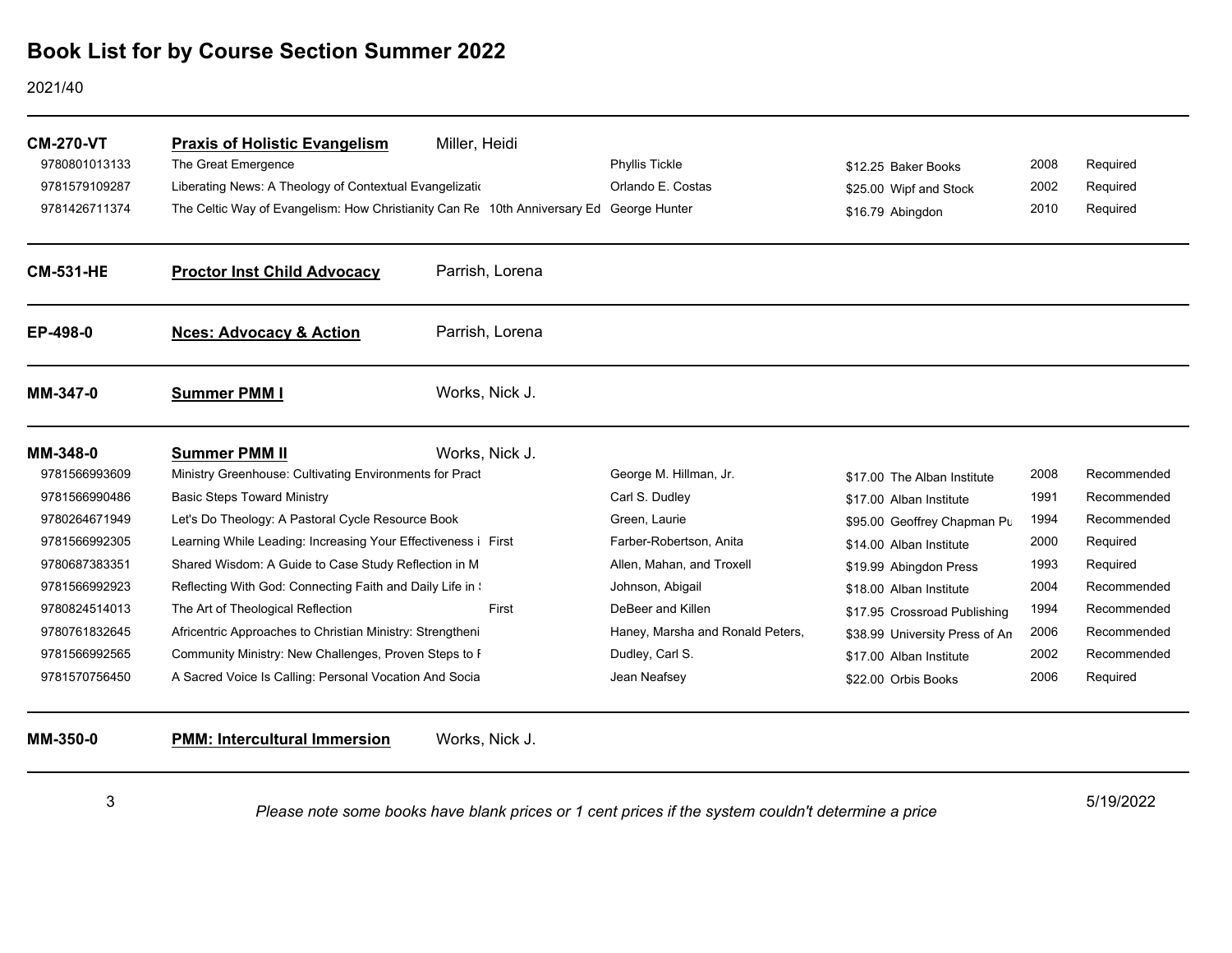#### 2021/40

| <b>CM-270-VT</b> | <b>Praxis of Holistic Evangelism</b>                                                    | Miller, Heidi   |                                  |                                |      |             |
|------------------|-----------------------------------------------------------------------------------------|-----------------|----------------------------------|--------------------------------|------|-------------|
| 9780801013133    | The Great Emergence                                                                     |                 | Phyllis Tickle                   | \$12.25 Baker Books            | 2008 | Required    |
| 9781579109287    | Liberating News: A Theology of Contextual Evangelization                                |                 | Orlando E. Costas                | \$25.00 Wipf and Stock         | 2002 | Required    |
| 9781426711374    | The Celtic Way of Evangelism: How Christianity Can Re 10th Anniversary Ed George Hunter |                 |                                  | \$16.79 Abingdon               | 2010 | Required    |
| <b>CM-531-HE</b> | <b>Proctor Inst Child Advocacy</b>                                                      | Parrish, Lorena |                                  |                                |      |             |
| EP-498-0         | <b>Nces: Advocacy &amp; Action</b>                                                      | Parrish, Lorena |                                  |                                |      |             |
| MM-347-0         | <b>Summer PMM I</b>                                                                     | Works, Nick J.  |                                  |                                |      |             |
| MM-348-0         | <b>Summer PMM II</b>                                                                    | Works, Nick J.  |                                  |                                |      |             |
| 9781566993609    | Ministry Greenhouse: Cultivating Environments for Pract                                 |                 | George M. Hillman, Jr.           | \$17.00 The Alban Institute    | 2008 | Recommended |
| 9781566990486    | <b>Basic Steps Toward Ministry</b>                                                      |                 | Carl S. Dudley                   | \$17.00 Alban Institute        | 1991 | Recommended |
| 9780264671949    | Let's Do Theology: A Pastoral Cycle Resource Book                                       |                 | Green, Laurie                    | \$95.00 Geoffrey Chapman Pu    | 1994 | Recommended |
| 9781566992305    | Learning While Leading: Increasing Your Effectiveness i First                           |                 | Farber-Robertson, Anita          | \$14.00 Alban Institute        | 2000 | Required    |
| 9780687383351    | Shared Wisdom: A Guide to Case Study Reflection in M                                    |                 | Allen, Mahan, and Troxell        | \$19.99 Abingdon Press         | 1993 | Required    |
| 9781566992923    | Reflecting With God: Connecting Faith and Daily Life in \;                              |                 | Johnson, Abigail                 | \$18.00 Alban Institute        | 2004 | Recommended |
| 9780824514013    | The Art of Theological Reflection                                                       | First           | DeBeer and Killen                | \$17.95 Crossroad Publishing   | 1994 | Recommended |
| 9780761832645    | Africentric Approaches to Christian Ministry: Strengtheni                               |                 | Haney, Marsha and Ronald Peters, | \$38.99 University Press of An | 2006 | Recommended |
| 9781566992565    | Community Ministry: New Challenges, Proven Steps to F                                   |                 | Dudley, Carl S.                  | \$17.00 Alban Institute        | 2002 | Recommended |
| 9781570756450    | A Sacred Voice Is Calling: Personal Vocation And Socia                                  |                 | Jean Neafsey                     | \$22.00 Orbis Books            | 2006 | Required    |
| MM-350-0         | <b>PMM: Intercultural Immersion</b>                                                     | Works, Nick J.  |                                  |                                |      |             |

3

5/19/2022 *Please note some books have blank prices or 1 cent prices if the system couldn't determine a price*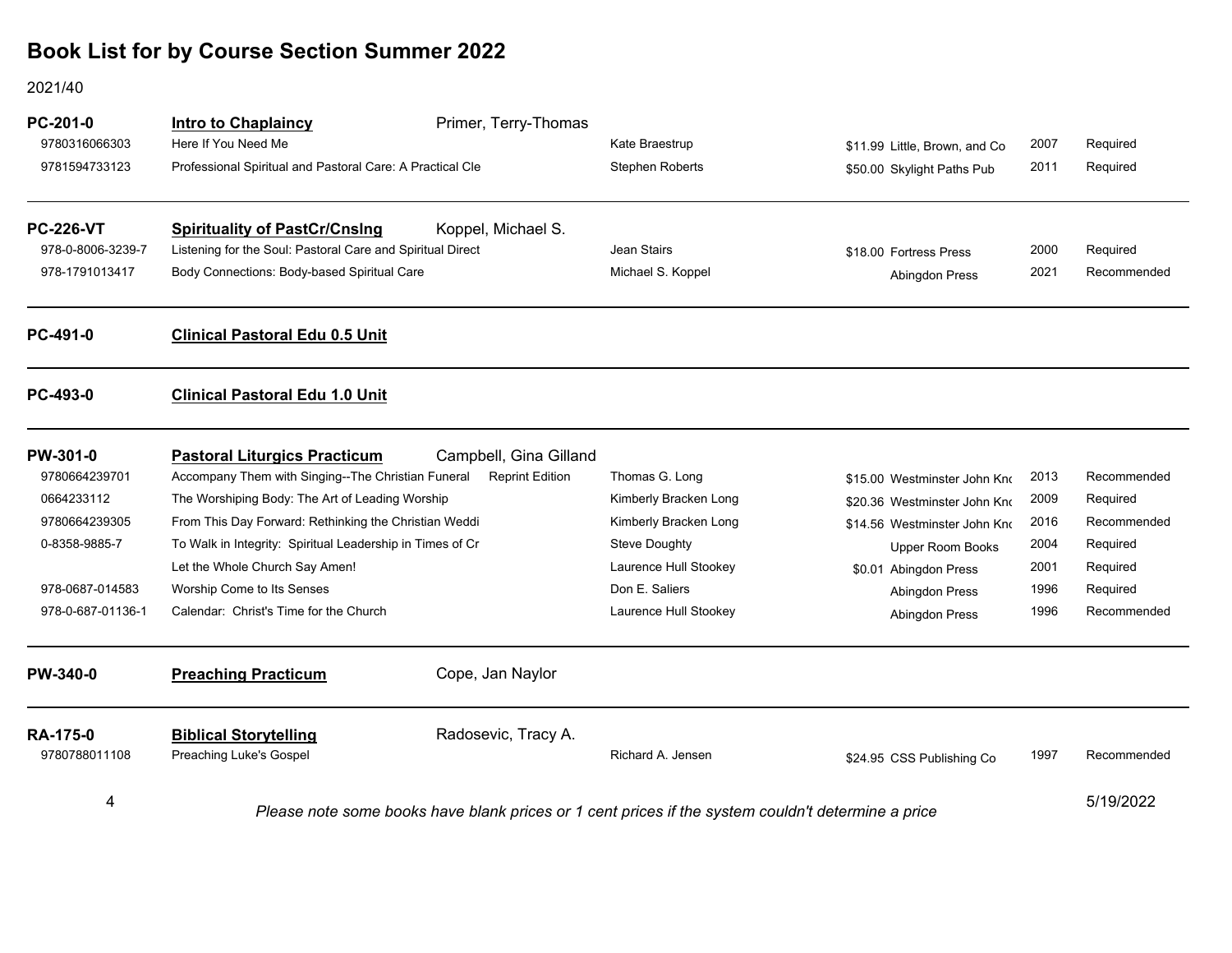2021/40

| PC-201-0<br>9780316066303<br>9781594733123                                                                        | <b>Intro to Chaplaincy</b><br>Here If You Need Me<br>Professional Spiritual and Pastoral Care: A Practical Cle                                                                                                                                                                                                                                                               | Primer, Terry-Thomas                             | Kate Braestrup<br><b>Stephen Roberts</b>                                                                                                              | \$11.99 Little, Brown, and Co<br>\$50.00 Skylight Paths Pub                                                                                                                                 | 2007<br>2011                                         | Required<br>Required                                                                      |
|-------------------------------------------------------------------------------------------------------------------|------------------------------------------------------------------------------------------------------------------------------------------------------------------------------------------------------------------------------------------------------------------------------------------------------------------------------------------------------------------------------|--------------------------------------------------|-------------------------------------------------------------------------------------------------------------------------------------------------------|---------------------------------------------------------------------------------------------------------------------------------------------------------------------------------------------|------------------------------------------------------|-------------------------------------------------------------------------------------------|
| <b>PC-226-VT</b><br>978-0-8006-3239-7<br>978-1791013417                                                           | <b>Spirituality of PastCr/Cnslng</b><br>Listening for the Soul: Pastoral Care and Spiritual Direct<br>Body Connections: Body-based Spiritual Care                                                                                                                                                                                                                            | Koppel, Michael S.                               | Jean Stairs<br>Michael S. Koppel                                                                                                                      | \$18.00 Fortress Press<br><b>Abingdon Press</b>                                                                                                                                             | 2000<br>2021                                         | Required<br>Recommended                                                                   |
| PC-491-0                                                                                                          | <b>Clinical Pastoral Edu 0.5 Unit</b>                                                                                                                                                                                                                                                                                                                                        |                                                  |                                                                                                                                                       |                                                                                                                                                                                             |                                                      |                                                                                           |
| PC-493-0                                                                                                          | <b>Clinical Pastoral Edu 1.0 Unit</b>                                                                                                                                                                                                                                                                                                                                        |                                                  |                                                                                                                                                       |                                                                                                                                                                                             |                                                      |                                                                                           |
| PW-301-0<br>9780664239701<br>0664233112<br>9780664239305<br>0-8358-9885-7<br>978-0687-014583<br>978-0-687-01136-1 | <b>Pastoral Liturgics Practicum</b><br>Accompany Them with Singing--The Christian Funeral<br>The Worshiping Body: The Art of Leading Worship<br>From This Day Forward: Rethinking the Christian Weddi<br>To Walk in Integrity: Spiritual Leadership in Times of Cr<br>Let the Whole Church Say Amen!<br>Worship Come to Its Senses<br>Calendar: Christ's Time for the Church | Campbell, Gina Gilland<br><b>Reprint Edition</b> | Thomas G. Long<br>Kimberly Bracken Long<br>Kimberly Bracken Long<br>Steve Doughty<br>Laurence Hull Stookey<br>Don E. Saliers<br>Laurence Hull Stookey | \$15.00 Westminster John Kno<br>\$20.36 Westminster John Kno<br>\$14.56 Westminster John Kno<br>Upper Room Books<br>\$0.01 Abingdon Press<br><b>Abingdon Press</b><br><b>Abingdon Press</b> | 2013<br>2009<br>2016<br>2004<br>2001<br>1996<br>1996 | Recommended<br>Required<br>Recommended<br>Required<br>Required<br>Required<br>Recommended |
| <b>PW-340-0</b>                                                                                                   | <b>Preaching Practicum</b>                                                                                                                                                                                                                                                                                                                                                   | Cope, Jan Naylor                                 |                                                                                                                                                       |                                                                                                                                                                                             |                                                      |                                                                                           |
| <b>RA-175-0</b><br>9780788011108                                                                                  | <b>Biblical Storytelling</b><br>Preaching Luke's Gospel                                                                                                                                                                                                                                                                                                                      | Radosevic, Tracy A.                              | Richard A. Jensen                                                                                                                                     | \$24.95 CSS Publishing Co                                                                                                                                                                   | 1997                                                 | Recommended                                                                               |
| 4                                                                                                                 | Please note some books have blank prices or 1 cent prices if the system couldn't determine a price                                                                                                                                                                                                                                                                           |                                                  |                                                                                                                                                       |                                                                                                                                                                                             | 5/19/2022                                            |                                                                                           |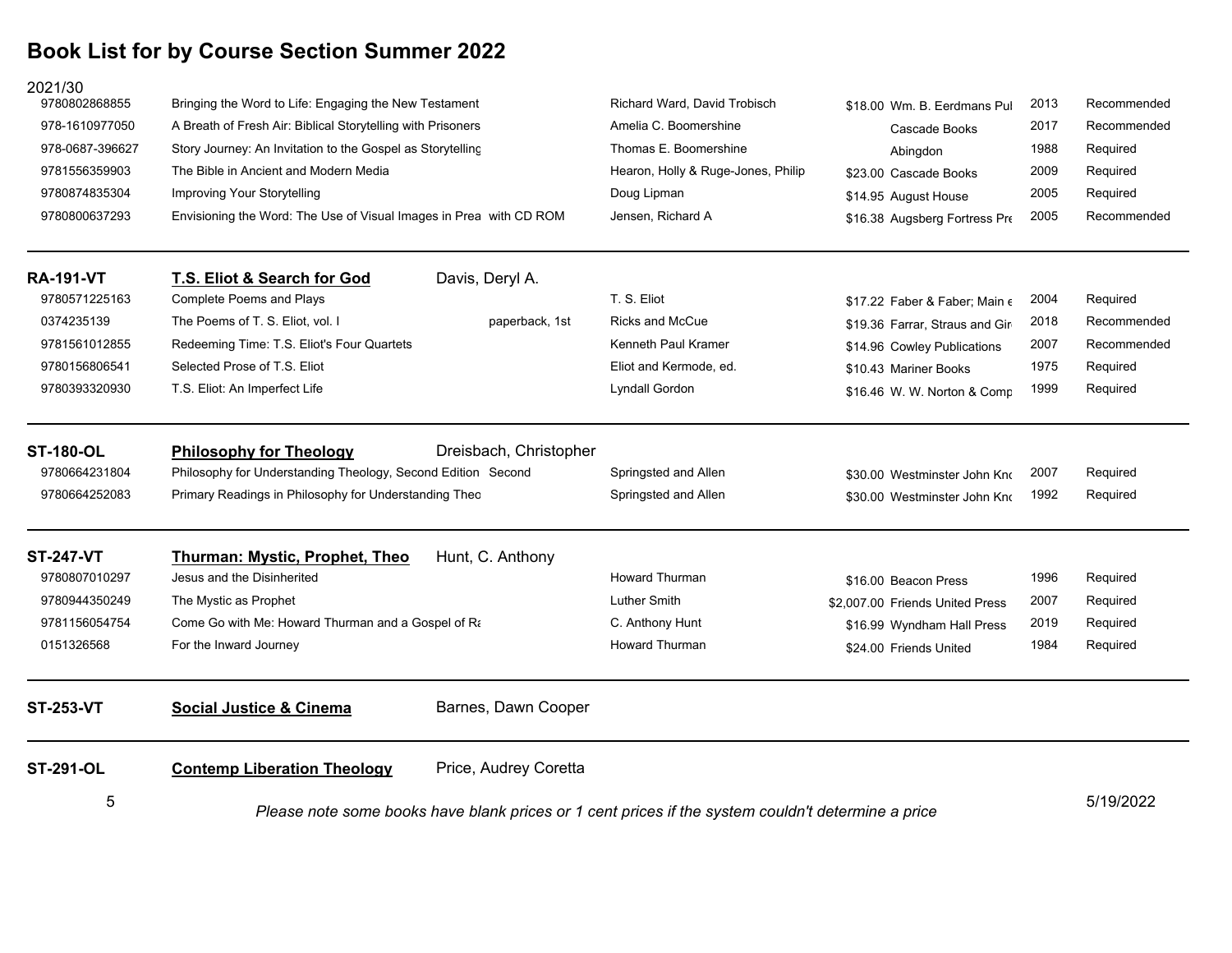| 2021/30<br>9780802868855 |                                                                                                                                                                                                                             |                        | Richard Ward, David Trobisch                                                         |                                        | 2013                 | Recommended                         |
|--------------------------|-----------------------------------------------------------------------------------------------------------------------------------------------------------------------------------------------------------------------------|------------------------|--------------------------------------------------------------------------------------|----------------------------------------|----------------------|-------------------------------------|
| 978-1610977050           | Bringing the Word to Life: Engaging the New Testament<br>A Breath of Fresh Air: Biblical Storytelling with Prisoners<br>Story Journey: An Invitation to the Gospel as Storytelling<br>The Bible in Ancient and Modern Media |                        | Amelia C. Boomershine<br>Thomas E. Boomershine<br>Hearon, Holly & Ruge-Jones, Philip | \$18.00 Wm. B. Eerdmans Pul            | 2017<br>1988<br>2009 | Recommended<br>Required<br>Required |
| 978-0687-396627          |                                                                                                                                                                                                                             |                        |                                                                                      | Cascade Books                          |                      |                                     |
| 9781556359903            |                                                                                                                                                                                                                             |                        |                                                                                      | Abingdon                               |                      |                                     |
| 9780874835304            | Improving Your Storytelling                                                                                                                                                                                                 |                        | Doug Lipman                                                                          | \$23.00 Cascade Books                  | 2005                 | Required                            |
| 9780800637293            | Envisioning the Word: The Use of Visual Images in Prea with CD ROM                                                                                                                                                          |                        | Jensen, Richard A                                                                    | \$14.95 August House                   | 2005                 | Recommended                         |
|                          |                                                                                                                                                                                                                             |                        |                                                                                      | \$16.38 Augsberg Fortress Pre          |                      |                                     |
| <b>RA-191-VT</b>         | T.S. Eliot & Search for God                                                                                                                                                                                                 | Davis, Deryl A.        |                                                                                      |                                        |                      |                                     |
| 9780571225163            | <b>Complete Poems and Plays</b>                                                                                                                                                                                             |                        | T. S. Eliot                                                                          | \$17.22 Faber & Faber; Main $\epsilon$ | 2004                 | Required                            |
| 0374235139               | The Poems of T. S. Eliot, vol. I                                                                                                                                                                                            | paperback, 1st         | <b>Ricks and McCue</b>                                                               | \$19.36 Farrar, Straus and Gir         | 2018                 | Recommended                         |
| 9781561012855            | Redeeming Time: T.S. Eliot's Four Quartets                                                                                                                                                                                  |                        | Kenneth Paul Kramer                                                                  | \$14.96 Cowley Publications            | 2007                 | Recommended                         |
| 9780156806541            | Selected Prose of T.S. Eliot                                                                                                                                                                                                |                        | Eliot and Kermode, ed.                                                               | \$10.43 Mariner Books                  | 1975                 | Required                            |
| 9780393320930            | T.S. Eliot: An Imperfect Life                                                                                                                                                                                               |                        | Lyndall Gordon                                                                       | \$16.46 W. W. Norton & Comp            | 1999                 | Required                            |
| <b>ST-180-OL</b>         | <b>Philosophy for Theology</b>                                                                                                                                                                                              | Dreisbach, Christopher |                                                                                      |                                        |                      |                                     |
| 9780664231804            | Philosophy for Understanding Theology, Second Edition Second                                                                                                                                                                |                        | Springsted and Allen                                                                 | \$30.00 Westminster John Kno           | 2007                 | Required                            |
| 9780664252083            | Primary Readings in Philosophy for Understanding Theo                                                                                                                                                                       |                        | Springsted and Allen                                                                 | \$30.00 Westminster John Kno           | 1992                 | Required                            |
| <b>ST-247-VT</b>         | Thurman: Mystic, Prophet, Theo                                                                                                                                                                                              | Hunt, C. Anthony       |                                                                                      |                                        |                      |                                     |
| 9780807010297            | Jesus and the Disinherited                                                                                                                                                                                                  |                        | <b>Howard Thurman</b>                                                                | \$16.00 Beacon Press                   | 1996                 | Required                            |
| 9780944350249            | The Mystic as Prophet                                                                                                                                                                                                       |                        | <b>Luther Smith</b>                                                                  | \$2,007.00 Friends United Press        | 2007                 | Required                            |
| 9781156054754            | Come Go with Me: Howard Thurman and a Gospel of Ra                                                                                                                                                                          |                        | C. Anthony Hunt                                                                      | \$16.99 Wyndham Hall Press             | 2019                 | Required                            |
| 0151326568               | For the Inward Journey                                                                                                                                                                                                      |                        | <b>Howard Thurman</b>                                                                | \$24.00 Friends United                 | 1984                 | Required                            |
| <b>ST-253-VT</b>         | <b>Social Justice &amp; Cinema</b>                                                                                                                                                                                          | Barnes, Dawn Cooper    |                                                                                      |                                        |                      |                                     |
| <b>ST-291-OL</b>         | <b>Contemp Liberation Theology</b>                                                                                                                                                                                          | Price, Audrey Coretta  |                                                                                      |                                        |                      |                                     |
| 5                        | Please note some books have blank prices or 1 cent prices if the system couldn't determine a price                                                                                                                          |                        |                                                                                      |                                        | 5/19/2022            |                                     |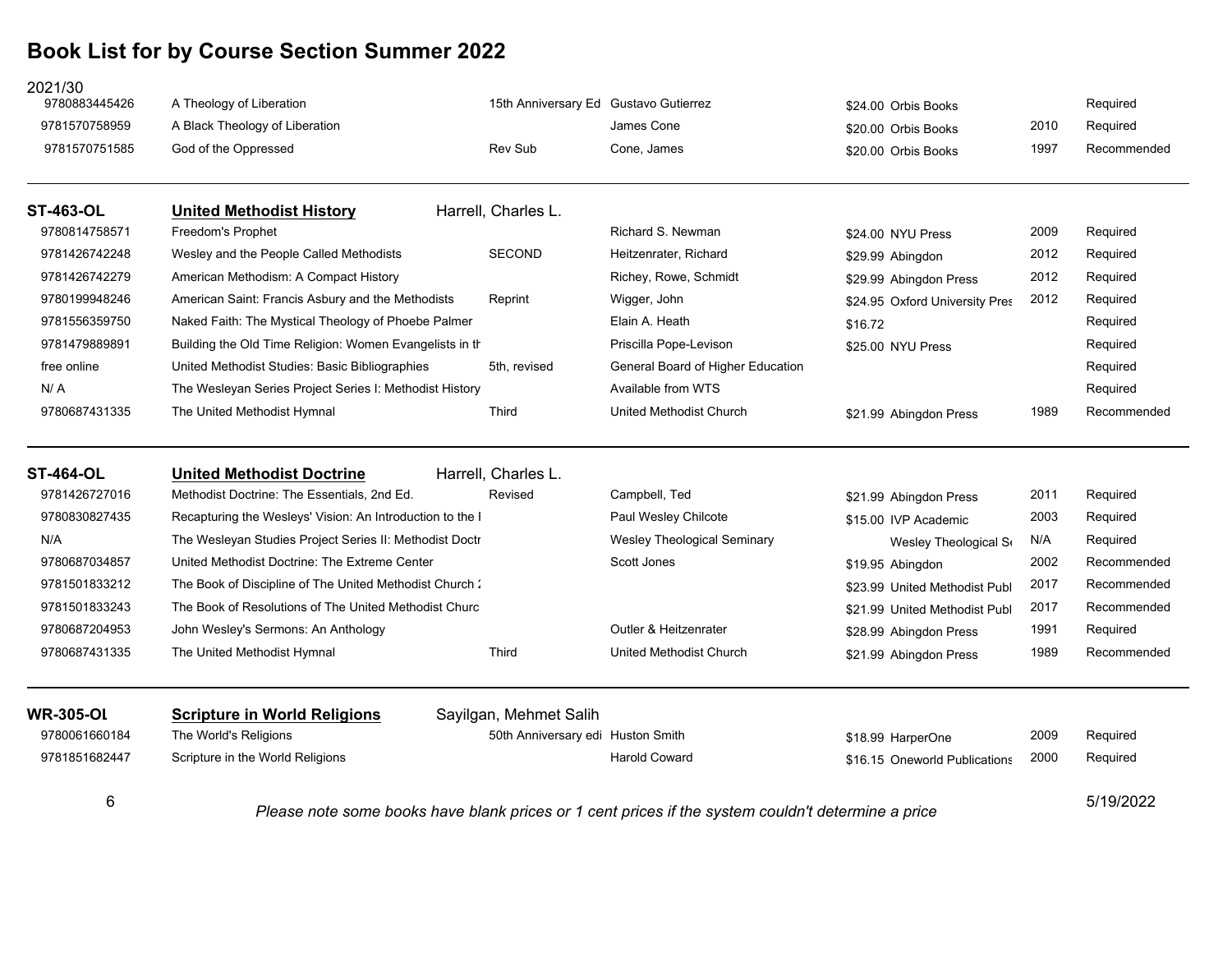| 2021/30<br>9780883445426 | A Theology of Liberation                                                                           | 15th Anniversary Ed Gustavo Gutierrez |                                   | \$24.00 Orbis Books            |      | Required    |
|--------------------------|----------------------------------------------------------------------------------------------------|---------------------------------------|-----------------------------------|--------------------------------|------|-------------|
| 9781570758959            | A Black Theology of Liberation                                                                     |                                       | James Cone                        | \$20.00 Orbis Books            | 2010 | Required    |
| 9781570751585            | God of the Oppressed                                                                               | Rev Sub                               | Cone, James                       | \$20.00 Orbis Books            | 1997 | Recommended |
| <b>ST-463-OL</b>         | <b>United Methodist History</b>                                                                    | Harrell, Charles L.                   |                                   |                                |      |             |
| 9780814758571            | Freedom's Prophet                                                                                  |                                       | Richard S. Newman                 | \$24.00 NYU Press              | 2009 | Required    |
| 9781426742248            | Wesley and the People Called Methodists                                                            | <b>SECOND</b>                         | Heitzenrater, Richard             | \$29.99 Abingdon               | 2012 | Required    |
| 9781426742279            | American Methodism: A Compact History                                                              |                                       | Richey, Rowe, Schmidt             | \$29.99 Abingdon Press         | 2012 | Required    |
| 9780199948246            | American Saint: Francis Asbury and the Methodists                                                  | Reprint                               | Wigger, John                      | \$24.95 Oxford University Pres | 2012 | Required    |
| 9781556359750            | Naked Faith: The Mystical Theology of Phoebe Palmer                                                |                                       | Elain A. Heath                    | \$16.72                        |      | Required    |
| 9781479889891            | Building the Old Time Religion: Women Evangelists in the                                           |                                       | Priscilla Pope-Levison            | \$25.00 NYU Press              |      | Required    |
| free online              | United Methodist Studies: Basic Bibliographies                                                     | 5th, revised                          | General Board of Higher Education |                                |      | Required    |
| N/A                      | The Wesleyan Series Project Series I: Methodist History                                            |                                       | Available from WTS                |                                |      | Required    |
| 9780687431335            | The United Methodist Hymnal                                                                        | Third                                 | United Methodist Church           | \$21.99 Abingdon Press         | 1989 | Recommended |
| <b>ST-464-OL</b>         | <b>United Methodist Doctrine</b>                                                                   | Harrell, Charles L.                   |                                   |                                |      |             |
| 9781426727016            | Methodist Doctrine: The Essentials, 2nd Ed.                                                        | Revised                               | Campbell, Ted                     | \$21.99 Abingdon Press         | 2011 | Required    |
| 9780830827435            | Recapturing the Wesleys' Vision: An Introduction to the I                                          |                                       | Paul Wesley Chilcote              | \$15.00 IVP Academic           | 2003 | Required    |
| N/A                      | The Wesleyan Studies Project Series II: Methodist Doctr                                            |                                       | Wesley Theological Seminary       | Wesley Theological S           | N/A  | Required    |
| 9780687034857            | United Methodist Doctrine: The Extreme Center                                                      |                                       | Scott Jones                       | \$19.95 Abingdon               | 2002 | Recommended |
| 9781501833212            | The Book of Discipline of The United Methodist Church:                                             |                                       |                                   | \$23.99 United Methodist Publ  | 2017 | Recommended |
| 9781501833243            | The Book of Resolutions of The United Methodist Churc                                              |                                       |                                   | \$21.99 United Methodist Publ  | 2017 | Recommended |
| 9780687204953            | John Wesley's Sermons: An Anthology                                                                |                                       | Outler & Heitzenrater             | \$28.99 Abingdon Press         | 1991 | Required    |
| 9780687431335            | The United Methodist Hymnal                                                                        | Third                                 | United Methodist Church           | \$21.99 Abingdon Press         | 1989 | Recommended |
| <b>WR-305-OL</b>         | <b>Scripture in World Religions</b>                                                                | Sayilgan, Mehmet Salih                |                                   |                                |      |             |
| 9780061660184            | The World's Religions                                                                              | 50th Anniversary edi Huston Smith     |                                   | \$18.99 HarperOne              | 2009 | Required    |
| 9781851682447            | Scripture in the World Religions                                                                   |                                       | <b>Harold Coward</b>              | \$16.15 Oneworld Publications  | 2000 | Required    |
| 6                        | Please note some books have blank prices or 1 cent prices if the system couldn't determine a price |                                       |                                   |                                |      | 5/19/2022   |